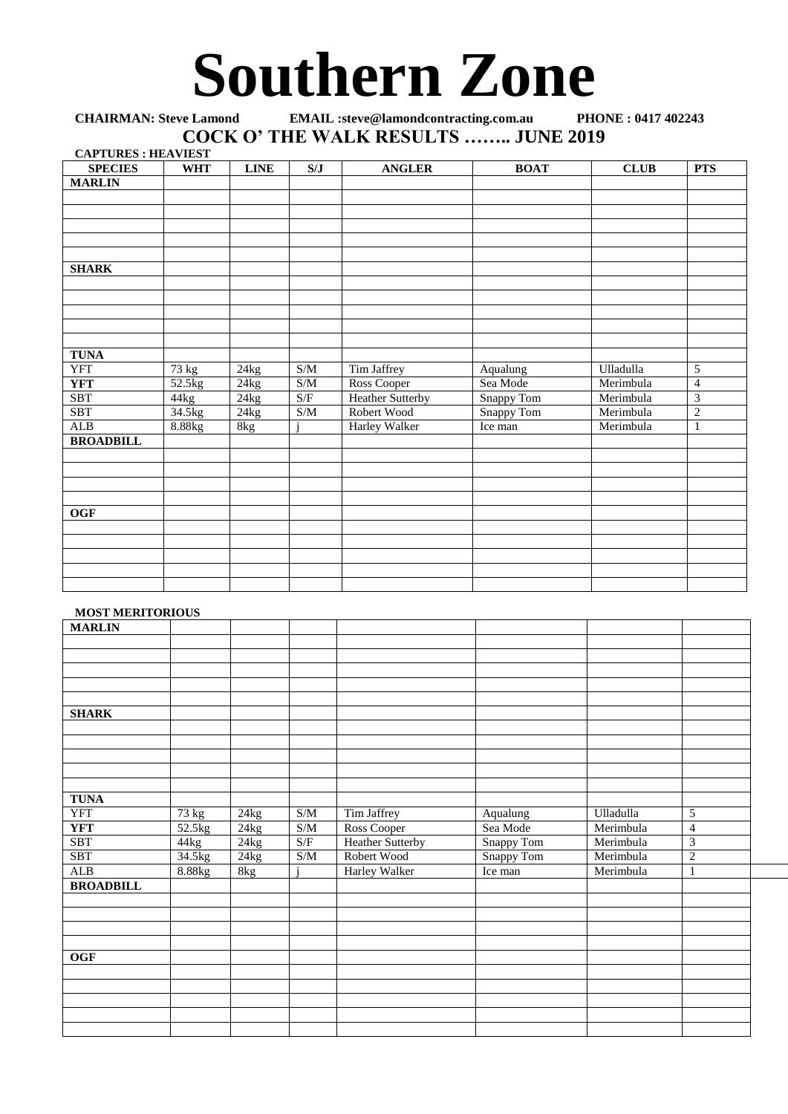## **Southern Zone**

## **CHAIRMAN: Steve Lamond EMAIL :steve@lamondcontracting.com.au PHONE : 0417 402243 COCK O' THE WALK RESULTS …….. JUNE 2019 CAPTURES : HEAVIEST**

| <b>CAPTURES : HEAVIEST</b> |            |             |                                                   |                         |             |                  |                         |
|----------------------------|------------|-------------|---------------------------------------------------|-------------------------|-------------|------------------|-------------------------|
| <b>SPECIES</b>             | <b>WHT</b> | <b>LINE</b> | S/J                                               | <b>ANGLER</b>           | <b>BOAT</b> | <b>CLUB</b>      | <b>PTS</b>              |
| <b>MARLIN</b>              |            |             |                                                   |                         |             |                  |                         |
|                            |            |             |                                                   |                         |             |                  |                         |
|                            |            |             |                                                   |                         |             |                  |                         |
|                            |            |             |                                                   |                         |             |                  |                         |
|                            |            |             |                                                   |                         |             |                  |                         |
|                            |            |             |                                                   |                         |             |                  |                         |
| <b>SHARK</b>               |            |             |                                                   |                         |             |                  |                         |
|                            |            |             |                                                   |                         |             |                  |                         |
|                            |            |             |                                                   |                         |             |                  |                         |
|                            |            |             |                                                   |                         |             |                  |                         |
|                            |            |             |                                                   |                         |             |                  |                         |
|                            |            |             |                                                   |                         |             |                  |                         |
| <b>TUNA</b>                |            |             |                                                   |                         |             |                  |                         |
| <b>YFT</b>                 | 73 kg      | 24kg        | S/M                                               | Tim Jaffrey             | Aqualung    | <b>Ulladulla</b> | 5                       |
| <b>YFT</b>                 | 52.5kg     | 24kg        | S/M                                               | Ross Cooper             | Sea Mode    | Merimbula        | $\overline{4}$          |
| <b>SBT</b>                 | 44kg       | 24kg        | S/F                                               | <b>Heather Sutterby</b> | Snappy Tom  | Merimbula        | $\overline{\mathbf{3}}$ |
| <b>SBT</b>                 | 34.5kg     | 24kg        | $\ensuremath{\mathrm{S}}/\ensuremath{\mathrm{M}}$ | Robert Wood             | Snappy Tom  | Merimbula        | $\overline{c}$          |
| ALB                        | 8.88kg     | 8kg         |                                                   | Harley Walker           | Ice man     | Merimbula        | $\mathbf{1}$            |
| <b>BROADBILL</b>           |            |             |                                                   |                         |             |                  |                         |
|                            |            |             |                                                   |                         |             |                  |                         |
|                            |            |             |                                                   |                         |             |                  |                         |
|                            |            |             |                                                   |                         |             |                  |                         |
|                            |            |             |                                                   |                         |             |                  |                         |
| <b>OGF</b>                 |            |             |                                                   |                         |             |                  |                         |
|                            |            |             |                                                   |                         |             |                  |                         |
|                            |            |             |                                                   |                         |             |                  |                         |
|                            |            |             |                                                   |                         |             |                  |                         |
|                            |            |             |                                                   |                         |             |                  |                         |
|                            |            |             |                                                   |                         |             |                  |                         |

## **MOST MERITORIOUS**

| <b>MARLIN</b>    |        |      |                                                   |                         |            |           |                             |
|------------------|--------|------|---------------------------------------------------|-------------------------|------------|-----------|-----------------------------|
|                  |        |      |                                                   |                         |            |           |                             |
|                  |        |      |                                                   |                         |            |           |                             |
|                  |        |      |                                                   |                         |            |           |                             |
|                  |        |      |                                                   |                         |            |           |                             |
|                  |        |      |                                                   |                         |            |           |                             |
|                  |        |      |                                                   |                         |            |           |                             |
| <b>SHARK</b>     |        |      |                                                   |                         |            |           |                             |
|                  |        |      |                                                   |                         |            |           |                             |
|                  |        |      |                                                   |                         |            |           |                             |
|                  |        |      |                                                   |                         |            |           |                             |
|                  |        |      |                                                   |                         |            |           |                             |
|                  |        |      |                                                   |                         |            |           |                             |
|                  |        |      |                                                   |                         |            |           |                             |
| <b>TUNA</b>      |        |      |                                                   |                         |            |           |                             |
| YFT              | 73 kg  | 24kg | $\ensuremath{\mathrm{S}}/\ensuremath{\mathrm{M}}$ | Tim Jaffrey             | Aqualung   | Ulladulla | $\sqrt{5}$                  |
| <b>YFT</b>       | 52.5kg | 24kg | S/M                                               | Ross Cooper             | Sea Mode   | Merimbula | $\overline{4}$              |
| <b>SBT</b>       | 44kg   | 24kg | S/F                                               | <b>Heather Sutterby</b> | Snappy Tom | Merimbula | $\ensuremath{\mathfrak{Z}}$ |
| <b>SBT</b>       | 34.5kg | 24kg | S/M                                               | Robert Wood             | Snappy Tom | Merimbula | $\overline{2}$              |
| ALB              | 8.88kg | 8kg  |                                                   | <b>Harley Walker</b>    | Ice man    | Merimbula | 1                           |
| <b>BROADBILL</b> |        |      |                                                   |                         |            |           |                             |
|                  |        |      |                                                   |                         |            |           |                             |
|                  |        |      |                                                   |                         |            |           |                             |
|                  |        |      |                                                   |                         |            |           |                             |
|                  |        |      |                                                   |                         |            |           |                             |
|                  |        |      |                                                   |                         |            |           |                             |
| OGF              |        |      |                                                   |                         |            |           |                             |
|                  |        |      |                                                   |                         |            |           |                             |
|                  |        |      |                                                   |                         |            |           |                             |
|                  |        |      |                                                   |                         |            |           |                             |
|                  |        |      |                                                   |                         |            |           |                             |
|                  |        |      |                                                   |                         |            |           |                             |
|                  |        |      |                                                   |                         |            |           |                             |